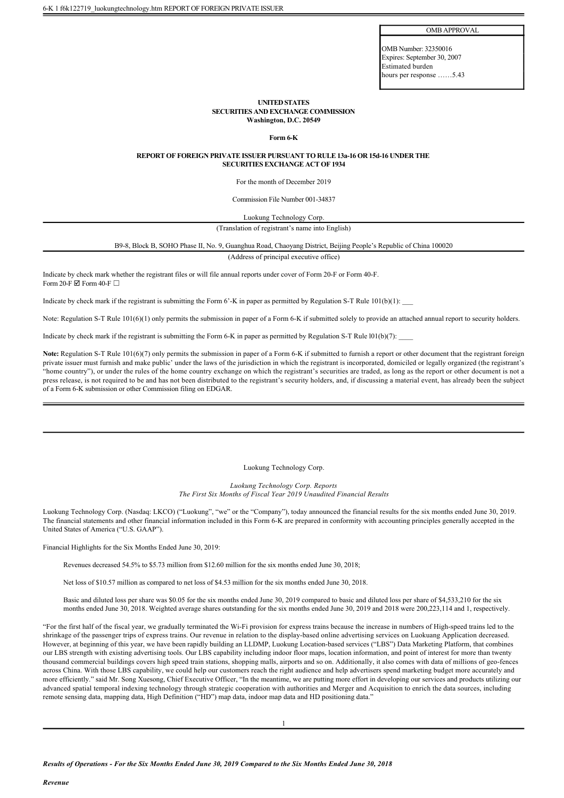OMB APPROVAL

OMB Number: 32350016 Expires: September 30, 2007 Estimated burden hours per response ……5.43

### **UNITED STATES SECURITIES AND EXCHANGE COMMISSION Washington, D.C. 20549**

### **Form 6K**

# **REPORT OF FOREIGN PRIVATE ISSUER PURSUANT TO RULE 13a16 OR 15d16 UNDER THE SECURITIES EXCHANGE ACT OF 1934**

For the month of December 2019

Commission File Number 001-34837

Luokung Technology Corp.

(Translation of registrant's name into English)

B98, Block B, SOHO Phase II, No. 9, Guanghua Road, Chaoyang District, Beijing People's Republic of China 100020

(Address of principal executive office)

Indicate by check mark whether the registrant files or will file annual reports under cover of Form 20-F or Form 40-F. Form 20-F  $\Box$  Form 40-F  $\Box$ 

Indicate by check mark if the registrant is submitting the Form 6'-K in paper as permitted by Regulation S-T Rule  $101(b)(1)$ :

Note: Regulation S-T Rule 101(6)(1) only permits the submission in paper of a Form 6-K if submitted solely to provide an attached annual report to security holders.

Indicate by check mark if the registrant is submitting the Form 6-K in paper as permitted by Regulation S-T Rule  $101(b)(7)$ :

Note: Regulation S-T Rule 101(6)(7) only permits the submission in paper of a Form 6-K if submitted to furnish a report or other document that the registrant foreign private issuer must furnish and make public' under the laws of the jurisdiction in which the registrant is incorporated, domiciled or legally organized (the registrant's "home country"), or under the rules of the home country exchange on which the registrant's securities are traded, as long as the report or other document is not a press release, is not required to be and has not been distributed to the registrant's security holders, and, if discussing a material event, has already been the subject of a Form 6K submission or other Commission filing on EDGAR.

### Luokung Technology Corp.

*Luokung Technology Corp. Reports The First Six Months of Fiscal Year 2019 Unaudited Financial Results*

Luokung Technology Corp. (Nasdaq: LKCO) ("Luokung", "we" or the "Company"), today announced the financial results for the six months ended June 30, 2019. The financial statements and other financial information included in this Form 6K are prepared in conformity with accounting principles generally accepted in the United States of America ("U.S. GAAP").

Financial Highlights for the Six Months Ended June 30, 2019:

Revenues decreased 54.5% to \$5.73 million from \$12.60 million for the six months ended June 30, 2018;

Net loss of \$10.57 million as compared to net loss of \$4.53 million for the six months ended June 30, 2018.

Basic and diluted loss per share was \$0.05 for the six months ended June 30, 2019 compared to basic and diluted loss per share of \$4,533,210 for the six months ended June 30, 2018. Weighted average shares outstanding for the six months ended June 30, 2019 and 2018 were 200,223,114 and 1, respectively.

"For the first half of the fiscal year, we gradually terminated the Wi-Fi provision for express trains because the increase in numbers of High-speed trains led to the shrinkage of the passenger trips of express trains. Our revenue in relation to the displaybased online advertising services on Luokuang Application decreased. However, at beginning of this year, we have been rapidly building an LLDMP, Luokung Location-based services ("LBS") Data Marketing Platform, that combines our LBS strength with existing advertising tools. Our LBS capability including indoor floor maps, location information, and point of interest for more than twenty thousand commercial buildings covers high speed train stations, shopping malls, airports and so on. Additionally, it also comes with data of millions of geo-fences across China. With those LBS capability, we could help our customers reach the right audience and help advertisers spend marketing budget more accurately and more efficiently." said Mr. Song Xuesong, Chief Executive Officer, "In the meantime, we are putting more effort in developing our services and products utilizing our advanced spatial temporal indexing technology through strategic cooperation with authorities and Merger and Acquisition to enrich the data sources, including remote sensing data, mapping data, High Definition ("HD") map data, indoor map data and HD positioning data."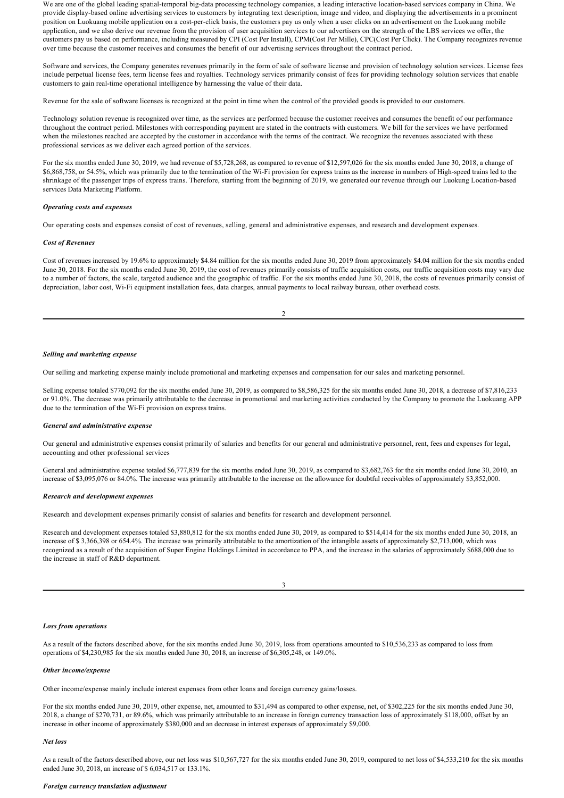We are one of the global leading spatial-temporal big-data processing technology companies, a leading interactive location-based services company in China. We provide display-based online advertising services to customers by integrating text description, image and video, and displaying the advertisements in a prominent position on Luokuang mobile application on a cost-per-click basis, the customers pay us only when a user clicks on an advertisement on the Luokuang mobile application, and we also derive our revenue from the provision of user acquisition services to our advertisers on the strength of the LBS services we offer, the customers pay us based on performance, including measured by CPI (Cost Per Install), CPM(Cost Per Mille), CPC(Cost Per Click). The Company recognizes revenue over time because the customer receives and consumes the benefit of our advertising services throughout the contract period.

Software and services, the Company generates revenues primarily in the form of sale of software license and provision of technology solution services. License fees include perpetual license fees, term license fees and royalties. Technology services primarily consist of fees for providing technology solution services that enable customers to gain real-time operational intelligence by harnessing the value of their data.

Revenue for the sale of software licenses is recognized at the point in time when the control of the provided goods is provided to our customers.

Technology solution revenue is recognized over time, as the services are performed because the customer receives and consumes the benefit of our performance throughout the contract period. Milestones with corresponding payment are stated in the contracts with customers. We bill for the services we have performed when the milestones reached are accepted by the customer in accordance with the terms of the contract. We recognize the revenues associated with these professional services as we deliver each agreed portion of the services.

For the six months ended June 30, 2019, we had revenue of \$5,728,268, as compared to revenue of \$12,597,026 for the six months ended June 30, 2018, a change of \$6,868,758, or 54.5%, which was primarily due to the termination of the Wi-Fi provision for express trains as the increase in numbers of High-speed trains led to the shrinkage of the passenger trips of express trains. Therefore, starting from the beginning of 2019, we generated our revenue through our Luokung Location-based services Data Marketing Platform.

### *Operating costs and expenses*

Our operating costs and expenses consist of cost of revenues, selling, general and administrative expenses, and research and development expenses.

### *Cost of Revenues*

Cost of revenues increased by 19.6% to approximately \$4.84 million for the six months ended June 30, 2019 from approximately \$4.04 million for the six months ended June 30, 2018. For the six months ended June 30, 2019, the cost of revenues primarily consists of traffic acquisition costs, our traffic acquisition costs may vary due to a number of factors, the scale, targeted audience and the geographic of traffic. For the six months ended June 30, 2018, the costs of revenues primarily consist of depreciation, labor cost, Wi-Fi equipment installation fees, data charges, annual payments to local railway bureau, other overhead costs.

| ٧ |  |  |
|---|--|--|
| I |  |  |
|   |  |  |
|   |  |  |

#### *Selling and marketing expense*

Our selling and marketing expense mainly include promotional and marketing expenses and compensation for our sales and marketing personnel.

Selling expense totaled \$770,092 for the six months ended June 30, 2019, as compared to \$8,586,325 for the six months ended June 30, 2018, a decrease of \$7,816,233 or 91.0%. The decrease was primarily attributable to the decrease in promotional and marketing activities conducted by the Company to promote the Luokuang APP due to the termination of the Wi-Fi provision on express trains.

### *General and administrative expense*

Our general and administrative expenses consist primarily of salaries and benefits for our general and administrative personnel, rent, fees and expenses for legal, accounting and other professional services

General and administrative expense totaled \$6,777,839 for the six months ended June 30, 2019, as compared to \$3,682,763 for the six months ended June 30, 2010, an increase of \$3,095,076 or 84.0%. The increase was primarily attributable to the increase on the allowance for doubtful receivables of approximately \$3,852,000.

#### *Research and development expenses*

Research and development expenses primarily consist of salaries and benefits for research and development personnel.

Research and development expenses totaled \$3,880,812 for the six months ended June 30, 2019, as compared to \$514,414 for the six months ended June 30, 2018, an increase of \$ 3,366,398 or 654.4%. The increase was primarily attributable to the amortization of the intangible assets of approximately \$2,713,000, which was recognized as a result of the acquisition of Super Engine Holdings Limited in accordance to PPA, and the increase in the salaries of approximately \$688,000 due to the increase in staff of R&D department.

3

#### *Loss from operations*

As a result of the factors described above, for the six months ended June 30, 2019, loss from operations amounted to \$10,536,233 as compared to loss from operations of \$4,230,985 for the six months ended June 30, 2018, an increase of \$6,305,248, or 149.0%.

#### *Other income/expense*

Other income/expense mainly include interest expenses from other loans and foreign currency gains/losses.

For the six months ended June 30, 2019, other expense, net, amounted to \$31,494 as compared to other expense, net, of \$302,225 for the six months ended June 30, 2018, a change of \$270,731, or 89.6%, which was primarily attributable to an increase in foreign currency transaction loss of approximately \$118,000, offset by an increase in other income of approximately \$380,000 and an decrease in interest expenses of approximately \$9,000.

#### *Net loss*

As a result of the factors described above, our net loss was \$10,567,727 for the six months ended June 30, 2019, compared to net loss of \$4,533,210 for the six months ended June 30, 2018, an increase of \$ 6,034,517 or 133.1%.

#### *Foreign currency translation adjustment*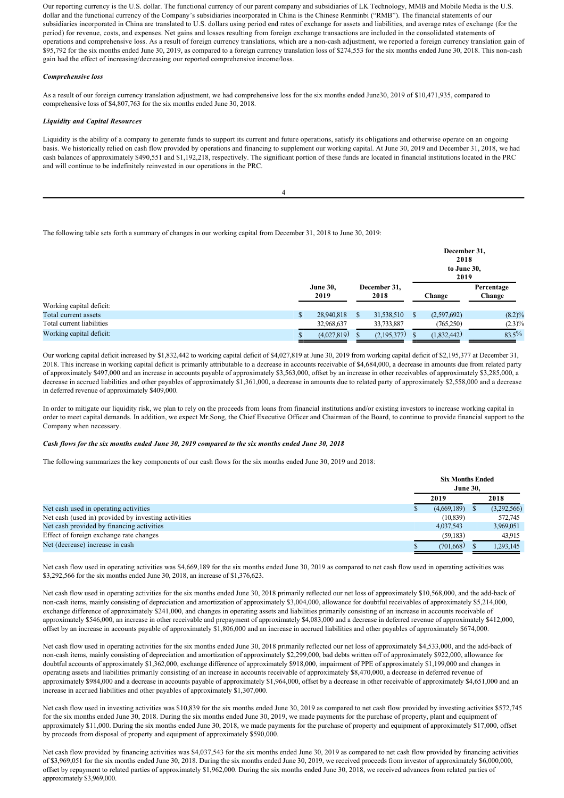Our reporting currency is the U.S. dollar. The functional currency of our parent company and subsidiaries of LK Technology, MMB and Mobile Media is the U.S. dollar and the functional currency of the Company's subsidiaries incorporated in China is the Chinese Renminbi ("RMB"). The financial statements of our subsidiaries incorporated in China are translated to U.S. dollars using period end rates of exchange for assets and liabilities, and average rates of exchange (for the period) for revenue, costs, and expenses. Net gains and losses resulting from foreign exchange transactions are included in the consolidated statements of operations and comprehensive loss. As a result of foreign currency translations, which are a noncash adjustment, we reported a foreign currency translation gain of \$95,792 for the six months ended June 30, 2019, as compared to a foreign currency translation loss of \$274,553 for the six months ended June 30, 2018. This non-cash gain had the effect of increasing/decreasing our reported comprehensive income/loss.

# *Comprehensive loss*

As a result of our foreign currency translation adjustment, we had comprehensive loss for the six months ended June30, 2019 of \$10,471,935, compared to comprehensive loss of \$4,807,763 for the six months ended June 30, 2018.

# *Liquidity and Capital Resources*

Liquidity is the ability of a company to generate funds to support its current and future operations, satisfy its obligations and otherwise operate on an ongoing basis. We historically relied on cash flow provided by operations and financing to supplement our working capital. At June 30, 2019 and December 31, 2018, we had cash balances of approximately \$490,551 and \$1,192,218, respectively. The significant portion of these funds are located in financial institutions located in the PRC and will continue to be indefinitely reinvested in our operations in the PRC.

4

The following table sets forth a summary of changes in our working capital from December 31, 2018 to June 30, 2019:

|                           |                         |                      |             |    | December 31,<br>2018<br>to June 30,<br>2019 |                      |  |  |
|---------------------------|-------------------------|----------------------|-------------|----|---------------------------------------------|----------------------|--|--|
|                           | <b>June 30,</b><br>2019 | December 31,<br>2018 |             |    | Change                                      | Percentage<br>Change |  |  |
| Working capital deficit:  |                         |                      |             |    |                                             |                      |  |  |
| Total current assets      | 28,940,818              | S                    | 31,538,510  | S. | (2,597,692)                                 | $(8.2)\%$            |  |  |
| Total current liabilities | 32,968,637              |                      | 33,733,887  |    | (765, 250)                                  | $(2.3)\%$            |  |  |
| Working capital deficit:  | (4,027,819)             |                      | (2,195,377) |    | (1,832,442)                                 | $83.5\%$             |  |  |

Our working capital deficit increased by \$1,832,442 to working capital deficit of \$4,027,819 at June 30, 2019 from working capital deficit of \$2,195,377 at December 31, 2018. This increase in working capital deficit is primarily attributable to a decrease in accounts receivable of \$4,684,000, a decrease in amounts due from related party of approximately \$497,000 and an increase in accounts payable of approximately \$3,563,000, offset by an increase in other receivables of approximately \$3,285,000, a decrease in accrued liabilities and other payables of approximately \$1,361,000, a decrease in amounts due to related party of approximately \$2,558,000 and a decrease in deferred revenue of approximately \$409,000.

In order to mitigate our liquidity risk, we plan to rely on the proceeds from loans from financial institutions and/or existing investors to increase working capital in order to meet capital demands. In addition, we expect Mr.Song, the Chief Executive Officer and Chairman of the Board, to continue to provide financial support to the Company when necessary.

## *Cash flows for the six months ended June 30, 2019 compared to the six months ended June 30, 2018*

The following summarizes the key components of our cash flows for the six months ended June 30, 2019 and 2018:

|                                                     | <b>Six Months Ended</b><br><b>June 30.</b> |  |             |  |
|-----------------------------------------------------|--------------------------------------------|--|-------------|--|
|                                                     | 2019                                       |  | 2018        |  |
| Net cash used in operating activities               | (4,669,189)                                |  | (3,292,566) |  |
| Net cash (used in) provided by investing activities | (10, 839)                                  |  | 572,745     |  |
| Net cash provided by financing activities           | 4,037,543                                  |  | 3,969,051   |  |
| Effect of foreign exchange rate changes             | (59, 183)                                  |  | 43.915      |  |
| Net (decrease) increase in cash                     | (701,668)                                  |  | 1,293,145   |  |

Net cash flow used in operating activities was \$4,669,189 for the six months ended June 30, 2019 as compared to net cash flow used in operating activities was \$3,292,566 for the six months ended June 30, 2018, an increase of \$1,376,623.

Net cash flow used in operating activities for the six months ended June 30, 2018 primarily reflected our net loss of approximately \$10,568,000, and the add-back of non-cash items, mainly consisting of depreciation and amortization of approximately \$3,004,000, allowance for doubtful receivables of approximately \$5,214,000, exchange difference of approximately \$241,000, and changes in operating assets and liabilities primarily consisting of an increase in accounts receivable of approximately \$546,000, an increase in other receivable and prepayment of approximately \$4,083,000 and a decrease in deferred revenue of approximately \$412,000, offset by an increase in accounts payable of approximately \$1,806,000 and an increase in accrued liabilities and other payables of approximately \$674,000.

Net cash flow used in operating activities for the six months ended June 30, 2018 primarily reflected our net loss of approximately \$4,533,000, and the add-back of non-cash items, mainly consisting of depreciation and amortization of approximately \$2,299,000, bad debts written off of approximately \$922,000, allowance for doubtful accounts of approximately \$1,362,000, exchange difference of approximately \$918,000, impairment of PPE of approximately \$1,199,000 and changes in operating assets and liabilities primarily consisting of an increase in accounts receivable of approximately \$8,470,000, a decrease in deferred revenue of approximately \$984,000 and a decrease in accounts payable of approximately \$1,964,000, offset by a decrease in other receivable of approximately \$4,651,000 and an increase in accrued liabilities and other payables of approximately \$1,307,000.

Net cash flow used in investing activities was \$10,839 for the six months ended June 30, 2019 as compared to net cash flow provided by investing activities \$572,745 for the six months ended June 30, 2018. During the six months ended June 30, 2019, we made payments for the purchase of property, plant and equipment of approximately \$11,000. During the six months ended June 30, 2018, we made payments for the purchase of property and equipment of approximately \$17,000, offset by proceeds from disposal of property and equipment of approximately \$590,000.

Net cash flow provided by financing activities was \$4,037,543 for the six months ended June 30, 2019 as compared to net cash flow provided by financing activities of \$3,969,051 for the six months ended June 30, 2018. During the six months ended June 30, 2019, we received proceeds from investor of approximately \$6,000,000, offset by repayment to related parties of approximately \$1,962,000. During the six months ended June 30, 2018, we received advances from related parties of approximately \$3,969,000.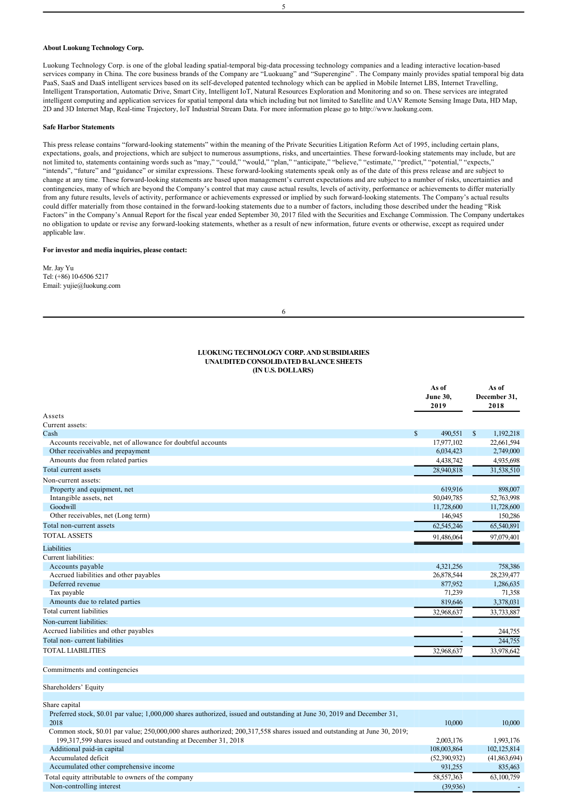# **About Luokung Technology Corp.**

Luokung Technology Corp. is one of the global leading spatial-temporal big-data processing technology companies and a leading interactive location-based services company in China. The core business brands of the Company are "Luokuang" and "Superengine" . The Company mainly provides spatial temporal big data PaaS, SaaS and DaaS intelligent services based on its self-developed patented technology which can be applied in Mobile Internet LBS, Internet Travelling, Intelligent Transportation, Automatic Drive, Smart City, Intelligent IoT, Natural Resources Exploration and Monitoring and so on. These services are integrated intelligent computing and application services for spatial temporal data which including but not limited to Satellite and UAV Remote Sensing Image Data, HD Map, 2D and 3D Internet Map, Realtime Trajectory, IoT Industrial Stream Data. For more information please go to http://www.luokung.com.

#### **Safe Harbor Statements**

This press release contains "forward-looking statements" within the meaning of the Private Securities Litigation Reform Act of 1995, including certain plans, expectations, goals, and projections, which are subject to numerous assumptions, risks, and uncertainties. These forwardlooking statements may include, but are not limited to, statements containing words such as "may," "could," "would," "plan," "anticipate," "believe," "estimate," "predict," "potential," "expects," "intends", "future" and "guidance" or similar expressions. These forward-looking statements speak only as of the date of this press release and are subject to change at any time. These forward-looking statements are based upon management's current expectations and are subject to a number of risks, uncertainties and contingencies, many of which are beyond the Company's control that may cause actual results, levels of activity, performance or achievements to differ materially from any future results, levels of activity, performance or achievements expressed or implied by such forward-looking statements. The Company's actual results could differ materially from those contained in the forward-looking statements due to a number of factors, including those described under the heading "Risk Factors" in the Company's Annual Report for the fiscal year ended September 30, 2017 filed with the Securities and Exchange Commission. The Company undertakes no obligation to update or revise any forward-looking statements, whether as a result of new information, future events or otherwise, except as required under applicable law.

# **For investor and media inquiries, please contact:**

Mr. Jay Yu Tel: (+86) 10-6506 5217 Email: yujie@luokung.com

6

### **LUOKUNG TECHNOLOGY CORP. AND SUBSIDIARIES UNAUDITED CONSOLIDATED BALANCE SHEETS (IN U.S. DOLLARS)**

|                                                                                                                                  | As of<br>June 30,<br>2019 | As of<br>December 31,<br>2018 |  |
|----------------------------------------------------------------------------------------------------------------------------------|---------------------------|-------------------------------|--|
| Assets                                                                                                                           |                           |                               |  |
| Current assets:                                                                                                                  |                           |                               |  |
| Cash                                                                                                                             | \$<br>490,551             | \$<br>1,192,218               |  |
| Accounts receivable, net of allowance for doubtful accounts                                                                      | 17,977,102                | 22,661,594                    |  |
| Other receivables and prepayment                                                                                                 | 6,034,423                 | 2,749,000                     |  |
| Amounts due from related parties                                                                                                 | 4,438,742                 | 4,935,698                     |  |
| Total current assets                                                                                                             | 28.940.818                | 31,538,510                    |  |
| Non-current assets:                                                                                                              |                           |                               |  |
| Property and equipment, net                                                                                                      | 619,916                   | 898,007                       |  |
| Intangible assets, net                                                                                                           | 50,049,785                | 52,763,998                    |  |
| Goodwill                                                                                                                         | 11,728,600                | 11,728,600                    |  |
| Other receivables, net (Long term)                                                                                               | 146,945                   | 150,286                       |  |
| Total non-current assets                                                                                                         | 62,545,246                | 65,540,891                    |  |
| <b>TOTAL ASSETS</b>                                                                                                              | 91,486,064                | 97,079,401                    |  |
| Liabilities                                                                                                                      |                           |                               |  |
| Current liabilities:                                                                                                             |                           |                               |  |
| Accounts payable                                                                                                                 | 4,321,256                 | 758,386                       |  |
| Accrued liabilities and other payables                                                                                           | 26,878,544                | 28,239,477                    |  |
| Deferred revenue                                                                                                                 | 877,952                   | 1,286,635                     |  |
| Tax payable                                                                                                                      | 71,239                    | 71,358                        |  |
| Amounts due to related parties                                                                                                   | 819,646                   | 3,378,031                     |  |
| Total current liabilities                                                                                                        | 32,968,637                | 33,733,887                    |  |
| Non-current liabilities:                                                                                                         |                           |                               |  |
| Accrued liabilities and other payables                                                                                           |                           | 244,755                       |  |
| Total non-current liabilities                                                                                                    |                           | 244,755                       |  |
| <b>TOTAL LIABILITIES</b>                                                                                                         | 32,968,637                | 33,978,642                    |  |
|                                                                                                                                  |                           |                               |  |
| Commitments and contingencies                                                                                                    |                           |                               |  |
|                                                                                                                                  |                           |                               |  |
| Shareholders' Equity                                                                                                             |                           |                               |  |
| Share capital                                                                                                                    |                           |                               |  |
| Preferred stock, \$0.01 par value; 1,000,000 shares authorized, issued and outstanding at June 30, 2019 and December 31,<br>2018 | 10.000                    | 10,000                        |  |
| Common stock, \$0.01 par value; 250,000,000 shares authorized; 200,317,558 shares issued and outstanding at June 30, 2019;       |                           |                               |  |
| 199,317,599 shares issued and outstanding at December 31, 2018                                                                   | 2,003,176                 | 1,993,176                     |  |
| Additional paid-in capital                                                                                                       | 108,003,864               | 102,125,814                   |  |
| Accumulated deficit                                                                                                              | (52,390,932)              | (41,863,694)                  |  |
| Accumulated other comprehensive income                                                                                           | 931,255                   | 835,463                       |  |
| Total equity attributable to owners of the company                                                                               | 58,557,363                | 63,100,759                    |  |
| Non-controlling interest                                                                                                         | (39.936)                  |                               |  |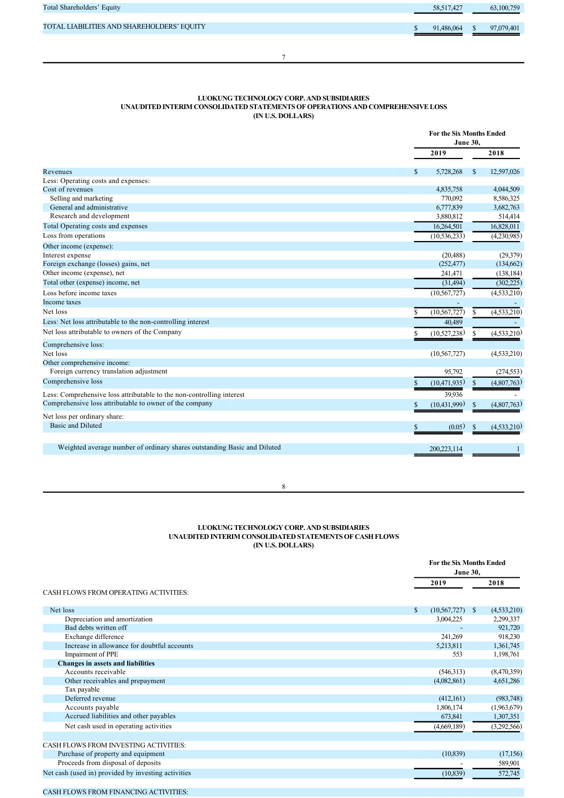| Total Shareholders' Equity                 | 58,517,427 |  | 63,100,759 |
|--------------------------------------------|------------|--|------------|
| TOTAL LIABILITIES AND SHAREHOLDERS' EQUITY | 91.486.064 |  | 97.079.401 |

7

### **LUOKUNG TECHNOLOGY CORP. AND SUBSIDIARIES UNAUDITED INTERIM CONSOLIDATED STATEMENTS OF OPERATIONS AND COMPREHENSIVE LOSS (IN U.S. DOLLARS)**

|                                                                          |              | <b>For the Six Months Ended</b><br>June 30, |               |  |  |
|--------------------------------------------------------------------------|--------------|---------------------------------------------|---------------|--|--|
|                                                                          |              | 2019                                        | 2018          |  |  |
| Revenues                                                                 | $\mathbb{S}$ | 5,728,268<br>\$                             | 12,597,026    |  |  |
| Less: Operating costs and expenses:                                      |              |                                             |               |  |  |
| Cost of revenues                                                         |              | 4,835,758                                   | 4,044,509     |  |  |
| Selling and marketing                                                    |              | 770,092                                     | 8,586,325     |  |  |
| General and administrative                                               |              | 6,777,839                                   | 3,682,763     |  |  |
| Research and development                                                 |              | 3,880,812                                   | 514,414       |  |  |
| Total Operating costs and expenses                                       |              | 16,264,501                                  | 16,828,011    |  |  |
| Loss from operations                                                     |              | (10, 536, 233)                              | (4,230,985)   |  |  |
| Other income (expense):                                                  |              |                                             |               |  |  |
| Interest expense                                                         |              | (20, 488)                                   | (29,379)      |  |  |
| Foreign exchange (losses) gains, net                                     |              | (252, 477)                                  | (134, 662)    |  |  |
| Other income (expense), net                                              |              | 241,471                                     | (138, 184)    |  |  |
| Total other (expense) income, net                                        |              | (31, 494)                                   | (302, 225)    |  |  |
| Loss before income taxes                                                 |              | (10, 567, 727)                              | (4,533,210)   |  |  |
| Income taxes                                                             |              |                                             |               |  |  |
| Net loss                                                                 |              | (10, 567, 727)<br>\$                        | (4, 533, 210) |  |  |
| Less: Net loss attributable to the non-controlling interest              |              | 40,489                                      |               |  |  |
| Net loss attributable to owners of the Company                           |              | (10,527,238)<br>\$                          | (4,533,210)   |  |  |
| Comprehensive loss:                                                      |              |                                             |               |  |  |
| Net loss                                                                 |              | (10, 567, 727)                              | (4,533,210)   |  |  |
| Other comprehensive income:                                              |              |                                             |               |  |  |
| Foreign currency translation adjustment                                  |              | 95,792                                      | (274, 553)    |  |  |
| Comprehensive loss                                                       |              | (10, 471, 935)<br>\$                        | (4,807,763)   |  |  |
| Less: Comprehensive loss attributable to the non-controlling interest    |              | 39,936                                      |               |  |  |
| Comprehensive loss attributable to owner of the company                  | S            | (10, 431, 999)<br>\$                        | (4,807,763)   |  |  |
| Net loss per ordinary share:                                             |              |                                             |               |  |  |
| <b>Basic and Diluted</b>                                                 | S            | (0.05)<br>\$                                | (4,533,210)   |  |  |
| Weighted average number of ordinary shares outstanding Basic and Diluted |              | 200,223,114                                 |               |  |  |
|                                                                          |              |                                             |               |  |  |

8

### **LUOKUNG TECHNOLOGY CORP. AND SUBSIDIARIES UNAUDITED INTERIM CONSOLIDATED STATEMENTS OF CASH FLOWS (IN U.S. DOLLARS)**

|                                                     |                      | <b>For the Six Months Ended</b><br><b>June 30,</b> |             |  |
|-----------------------------------------------------|----------------------|----------------------------------------------------|-------------|--|
|                                                     | 2019                 | 2018                                               |             |  |
| CASH FLOWS FROM OPERATING ACTIVITIES:               |                      |                                                    |             |  |
| Net loss                                            | \$<br>(10, 567, 727) | <sup>\$</sup>                                      | (4,533,210) |  |
| Depreciation and amortization                       | 3,004,225            | 2,299,337                                          |             |  |
| Bad debts written off                               |                      |                                                    | 921,720     |  |
| Exchange difference                                 | 241,269              |                                                    | 918,230     |  |
| Increase in allowance for doubtful accounts         | 5,213,811            |                                                    | 1,361,745   |  |
| Impairment of PPE                                   | 553                  | 1,198,761                                          |             |  |
| <b>Changes in assets and liabilities</b>            |                      |                                                    |             |  |
| Accounts receivable                                 | (546,313)            |                                                    | (8,470,359) |  |
| Other receivables and prepayment                    | (4,082,861)          |                                                    | 4,651,286   |  |
| Tax payable                                         |                      |                                                    |             |  |
| Deferred revenue                                    | (412,161)            |                                                    | (983,748)   |  |
| Accounts payable                                    | 1,806,174            |                                                    | (1,963,679) |  |
| Accrued liabilities and other payables              | 673,841              | 1,307,351                                          |             |  |
| Net cash used in operating activities               | (4,669,189)          | (3,292,566)                                        |             |  |
| <b>CASH FLOWS FROM INVESTING ACTIVITIES:</b>        |                      |                                                    |             |  |
| Purchase of property and equipment                  | (10, 839)            |                                                    | (17,156)    |  |
| Proceeds from disposal of deposits                  |                      |                                                    | 589,901     |  |
| Net cash (used in) provided by investing activities | (10, 839)            |                                                    | 572,745     |  |
| <b>CASH FLOWS FROM FINANCING ACTIVITIES:</b>        |                      |                                                    |             |  |